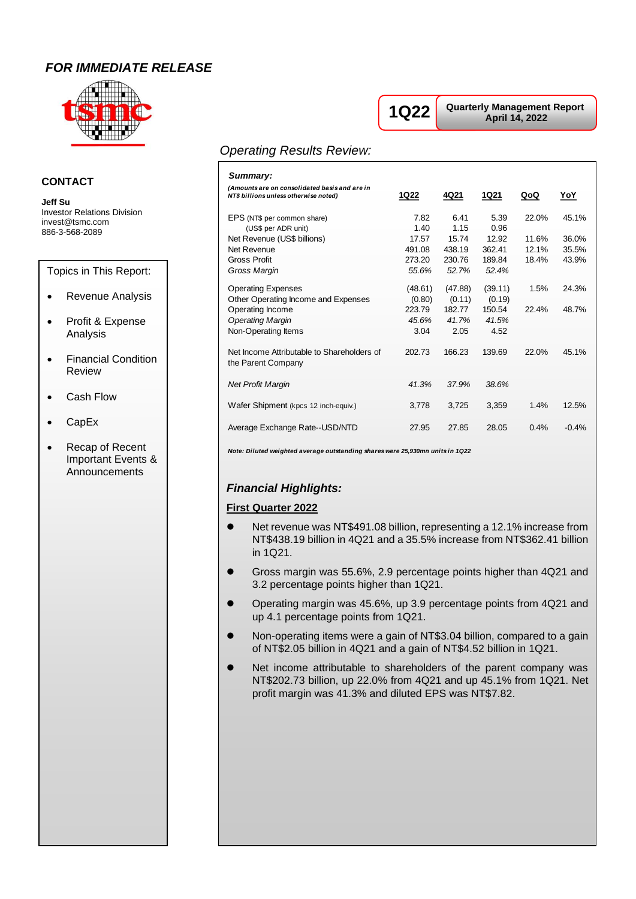## *FOR IMMEDIATE RELEASE*



### **CONTACT**

**Jeff Su** Investor Relations Division invest@tsmc.com 886-3-568-2089

Topics in This Report:

- Revenue Analysis
- Profit & Expense Analysis
- Financial Condition Review
- Cash Flow
- CapEx
- Recap of Recent Important Events & Announcements

# **1Q22**

**Quarterly Management Report April 14, 2022**

### *Operating Results Review:*

| Summary:                                                                               |                           |                           |                           |                         |                         |
|----------------------------------------------------------------------------------------|---------------------------|---------------------------|---------------------------|-------------------------|-------------------------|
| (Amounts are on consolidated basis and are in<br>NT\$ billions unless otherwise noted) | 1Q22                      | 4Q 21                     | 1Q21                      | QoQ                     | <u>YoY</u>              |
| EPS (NT\$ per common share)<br>(US\$ per ADR unit)                                     | 7.82<br>1.40              | 6.41<br>1.15              | 5.39<br>0.96              | 22.0%                   | 45.1%                   |
| Net Revenue (US\$ billions)<br>Net Revenue<br><b>Gross Profit</b>                      | 17.57<br>491.08<br>273.20 | 15.74<br>438.19<br>230.76 | 12.92<br>362.41<br>189.84 | 11.6%<br>12.1%<br>18.4% | 36.0%<br>35.5%<br>43.9% |
| Gross Margin                                                                           | 55.6%                     | 52.7%                     | 52.4%                     |                         |                         |
| <b>Operating Expenses</b><br>Other Operating Income and Expenses                       | (48.61)<br>(0.80)         | (47.88)<br>(0.11)         | (39.11)<br>(0.19)         | 1.5%                    | 24.3%                   |
| Operating Income<br><b>Operating Margin</b>                                            | 223.79<br>45.6%           | 182.77<br>41.7%           | 150.54<br>41.5%           | 22.4%                   | 48.7%                   |
| Non-Operating Items                                                                    | 3.04                      | 2.05                      | 4.52                      |                         |                         |
| Net Income Attributable to Shareholders of<br>the Parent Company                       | 202.73                    | 166.23                    | 139.69                    | 22.0%                   | 45.1%                   |
| <b>Net Profit Margin</b>                                                               | 41.3%                     | 37.9%                     | 38.6%                     |                         |                         |
| Wafer Shipment (kpcs 12 inch-equiv.)                                                   | 3,778                     | 3,725                     | 3,359                     | 1.4%                    | 12.5%                   |
| Average Exchange Rate--USD/NTD                                                         | 27.95                     | 27.85                     | 28.05                     | 0.4%                    | $-0.4%$                 |

*Note: Diluted weighted average outstanding shares were 25,930mn units in 1Q22*

### *Financial Highlights:*

#### **First Quarter 2022**

- Net revenue was NT\$491.08 billion, representing a 12.1% increase from NT\$438.19 billion in 4Q21 and a 35.5% increase from NT\$362.41 billion in 1Q21.
- Gross margin was 55.6%, 2.9 percentage points higher than 4Q21 and 3.2 percentage points higher than 1Q21.
- ⚫ Operating margin was 45.6%, up 3.9 percentage points from 4Q21 and up 4.1 percentage points from 1Q21.
- ⚫ Non-operating items were a gain of NT\$3.04 billion, compared to a gain of NT\$2.05 billion in 4Q21 and a gain of NT\$4.52 billion in 1Q21.
- ⚫ Net income attributable to shareholders of the parent company was NT\$202.73 billion, up 22.0% from 4Q21 and up 45.1% from 1Q21. Net profit margin was 41.3% and diluted EPS was NT\$7.82.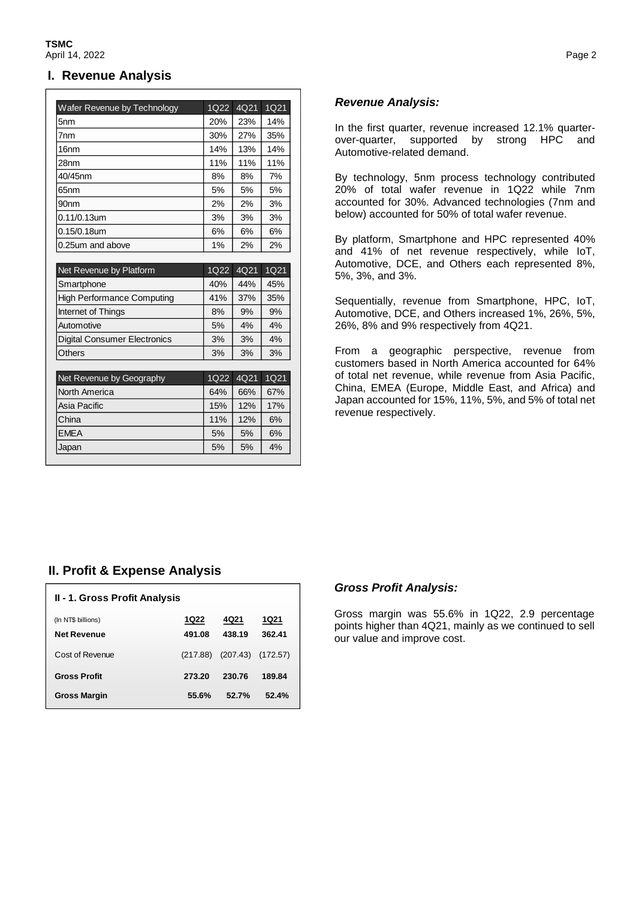### **I. Revenue Analysis**

| Wafer Revenue by Technology         | 1Q22 | 4Q21 | 1Q21 |
|-------------------------------------|------|------|------|
| 5 <sub>nm</sub>                     | 20%  | 23%  | 14%  |
| 7 <sub>nm</sub>                     | 30%  | 27%  | 35%  |
| 16 <sub>nm</sub>                    | 14%  | 13%  | 14%  |
| 28nm                                | 11%  | 11%  | 11%  |
| 40/45nm                             | 8%   | 8%   | 7%   |
| 65nm                                | 5%   | 5%   | 5%   |
| 90nm                                | 2%   | 2%   | 3%   |
| $0.11/0.13$ um                      | 3%   | 3%   | 3%   |
| 0.15/0.18um                         | 6%   | 6%   | 6%   |
| 0.25um and above                    | 1%   | 2%   | 2%   |
|                                     |      |      |      |
| Net Revenue by Platform             | 1Q22 | 4Q21 | 1Q21 |
| Smartphone                          | 40%  | 44%  | 45%  |
| <b>High Performance Computing</b>   | 41%  | 37%  | 35%  |
| Internet of Things                  | 8%   | 9%   | 9%   |
|                                     |      |      |      |
| Automotive                          | 5%   | 4%   | 4%   |
| <b>Digital Consumer Electronics</b> | 3%   | 3%   | 4%   |
| <b>Others</b>                       | 3%   | 3%   | 3%   |
|                                     |      |      |      |
| Net Revenue by Geography            | 1Q22 | 4Q21 | 1Q21 |
| North America                       | 64%  | 66%  | 67%  |
| Asia Pacific                        | 15%  | 12%  | 17%  |
| China                               | 11%  | 12%  | 6%   |
| <b>EMEA</b>                         | 5%   | 5%   | 6%   |

### *Revenue Analysis:*

In the first quarter, revenue increased 12.1% quarterover-quarter, supported by strong HPC and Automotive-related demand.

By technology, 5nm process technology contributed 20% of total wafer revenue in 1Q22 while 7nm accounted for 30%. Advanced technologies (7nm and below) accounted for 50% of total wafer revenue.

By platform, Smartphone and HPC represented 40% and 41% of net revenue respectively, while IoT, Automotive, DCE, and Others each represented 8%, 5%, 3%, and 3%.

Sequentially, revenue from Smartphone, HPC, IoT, Automotive, DCE, and Others increased 1%, 26%, 5%, 26%, 8% and 9% respectively from 4Q21.

From a geographic perspective, revenue from customers based in North America accounted for 64% of total net revenue, while revenue from Asia Pacific, China, EMEA (Europe, Middle East, and Africa) and Japan accounted for 15%, 11%, 5%, and 5% of total net revenue respectively.

## **II. Profit & Expense Analysis**

| <b>II - 1. Gross Profit Analysis</b>     |                |                |                       |  |  |
|------------------------------------------|----------------|----------------|-----------------------|--|--|
| (In NT\$ billions)<br><b>Net Revenue</b> | 1Q22<br>491.08 | 4Q21<br>438.19 | <b>1Q21</b><br>362.41 |  |  |
| Cost of Revenue                          | (217.88)       | (207.43)       | (172.57)              |  |  |
| <b>Gross Profit</b>                      | 273.20         | 230.76         | 189.84                |  |  |
| <b>Gross Margin</b>                      | 55.6%          | 52.7%          | 52.4%                 |  |  |

### *Gross Profit Analysis:*

Gross margin was 55.6% in 1Q22, 2.9 percentage points higher than 4Q21, mainly as we continued to sell our value and improve cost.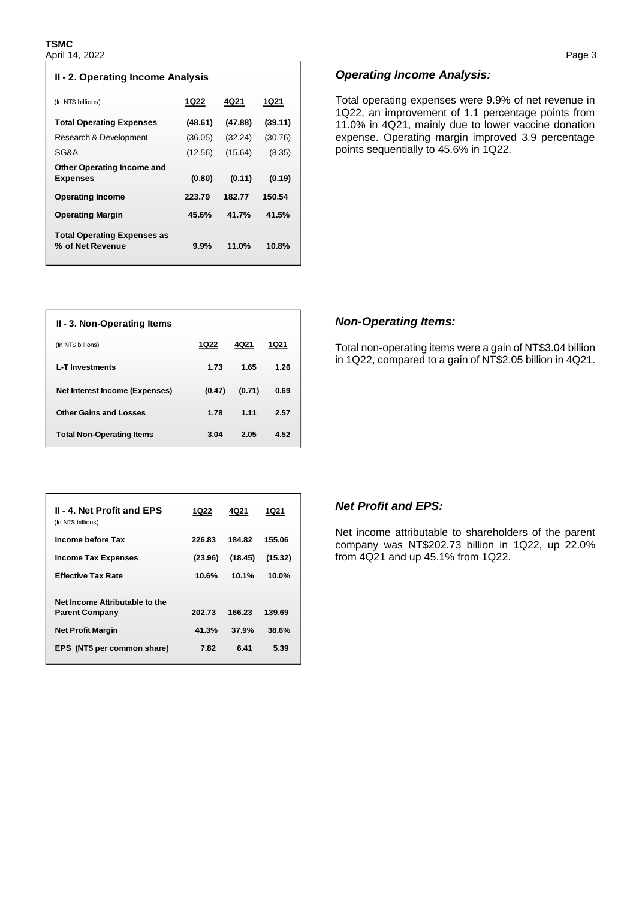| II - 2. Operating Income Analysis                      |         |         |         |  |
|--------------------------------------------------------|---------|---------|---------|--|
| (In NT\$ billions)                                     | 1Q22    | 4Q21    | 1Q21    |  |
| <b>Total Operating Expenses</b>                        | (48.61) | (47.88) | (39.11) |  |
| Research & Development                                 | (36.05) | (32.24) | (30.76) |  |
| SG&A                                                   | (12.56) | (15.64) | (8.35)  |  |
| <b>Other Operating Income and</b>                      | (0.80)  | (0.11)  | (0.19)  |  |
| <b>Expenses</b>                                        |         |         |         |  |
| <b>Operating Income</b>                                | 223.79  | 182.77  | 150.54  |  |
| <b>Operating Margin</b>                                | 45.6%   | 41.7%   | 41.5%   |  |
| <b>Total Operating Expenses as</b><br>% of Net Revenue | $9.9\%$ | 11.0%   | 10.8%   |  |

| II - 3. Non-Operating Items      |             |        |             |
|----------------------------------|-------------|--------|-------------|
| (In NT\$ billions)               | <b>1Q22</b> | 4Q21   | <b>1Q21</b> |
| <b>L-T</b> Investments           | 1.73        | 1.65   | 1.26        |
| Net Interest Income (Expenses)   | (0.47)      | (0.71) | 0.69        |
| <b>Other Gains and Losses</b>    | 1.78        | 1.11   | 2.57        |
| <b>Total Non-Operating Items</b> | 3.04        | 2.05   | 4.52        |

| <b>II - 4. Net Profit and EPS</b><br>(In NT\$ billions) | 1Q22    | 4Q21    | 1Q21    |
|---------------------------------------------------------|---------|---------|---------|
| Income before Tax                                       | 226.83  | 184.82  | 155.06  |
| <b>Income Tax Expenses</b>                              | (23.96) | (18.45) | (15.32) |
| <b>Effective Tax Rate</b>                               | 10.6%   | 10.1%   | 10.0%   |
| Net Income Attributable to the                          |         |         |         |
| <b>Parent Company</b>                                   | 202.73  | 166.23  | 139.69  |
| <b>Net Profit Margin</b>                                | 41.3%   | 37.9%   | 38.6%   |
| EPS (NT\$ per common share)                             | 7.82    | 6.41    | 5.39    |
|                                                         |         |         |         |

#### *Operating Income Analysis:*

Total operating expenses were 9.9% of net revenue in 1Q22, an improvement of 1.1 percentage points from 11.0% in 4Q21, mainly due to lower vaccine donation expense. Operating margin improved 3.9 percentage points sequentially to 45.6% in 1Q22.

#### *Non-Operating Items:*

Total non-operating items were a gain of NT\$3.04 billion in 1Q22, compared to a gain of NT\$2.05 billion in 4Q21.

### *Net Profit and EPS:*

Net income attributable to shareholders of the parent company was NT\$202.73 billion in 1Q22, up 22.0% from 4Q21 and up 45.1% from 1Q22.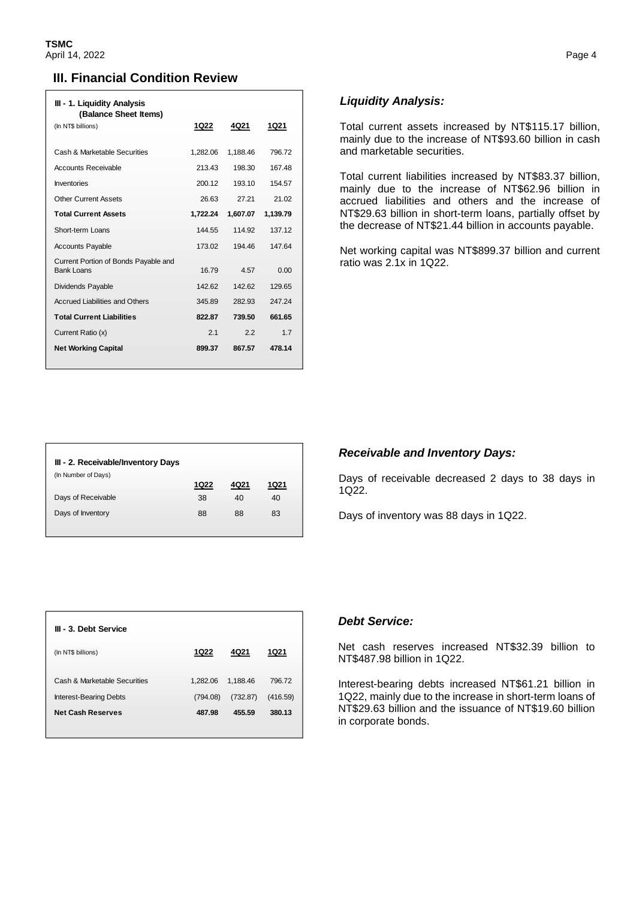### **III. Financial Condition Review**

| III - 1. Liquidity Analysis                        |          |          |          |
|----------------------------------------------------|----------|----------|----------|
| (Balance Sheet Items)<br>(In NT\$ billions)        | 1Q22     | 4Q21     | 1Q21     |
| Cash & Marketable Securities                       | 1.282.06 | 1,188.46 | 796.72   |
| <b>Accounts Receivable</b>                         | 213.43   | 198.30   | 167.48   |
| <b>Inventories</b>                                 | 200.12   | 193.10   | 154.57   |
| <b>Other Current Assets</b>                        | 26.63    | 27 21    | 21.02    |
| <b>Total Current Assets</b>                        | 1,722.24 | 1,607.07 | 1,139.79 |
| Short-term Loans                                   | 144 55   | 114.92   | 137 12   |
| <b>Accounts Payable</b>                            | 173.02   | 194 46   | 147.64   |
| Current Portion of Bonds Payable and<br>Bank Loans | 16.79    | 4.57     | 0.00     |
| Dividends Payable                                  | 142.62   | 142.62   | 129.65   |
| <b>Accrued Liabilities and Others</b>              | 345.89   | 282.93   | 247 24   |
| <b>Total Current Liabilities</b>                   | 822.87   | 739.50   | 661.65   |
| Current Ratio (x)                                  | 21       | 22       | 17       |
| <b>Net Working Capital</b>                         | 899.37   | 867.57   | 478.14   |
|                                                    |          |          |          |

### *Liquidity Analysis:*

Total current assets increased by NT\$115.17 billion, mainly due to the increase of NT\$93.60 billion in cash and marketable securities.

Total current liabilities increased by NT\$83.37 billion, mainly due to the increase of NT\$62.96 billion in accrued liabilities and others and the increase of NT\$29.63 billion in short-term loans, partially offset by the decrease of NT\$21.44 billion in accounts payable.

Net working capital was NT\$899.37 billion and current ratio was 2.1x in 1Q22.

| III - 2. Receivable/Inventory Days |      |      |             |
|------------------------------------|------|------|-------------|
| (In Number of Days)                | 1Q22 | 4Q21 | <b>1Q21</b> |
| Days of Receivable                 | 38   | 40   | 40          |
| Days of Inventory                  | 88   | 88   | 83          |

#### *Receivable and Inventory Days:*

Days of receivable decreased 2 days to 38 days in 1Q22.

Days of inventory was 88 days in 1Q22.

| III - 3. Debt Service                                         |                      |                      |                    |
|---------------------------------------------------------------|----------------------|----------------------|--------------------|
| (In NT\$ billions)                                            | 1Q22                 | 4021                 | 1Q21               |
| Cash & Marketable Securities<br><b>Interest-Bearing Debts</b> | 1.282.06<br>(794.08) | 1.188.46<br>(732.87) | 796.72<br>(416.59) |
| <b>Net Cash Reserves</b>                                      | 487.98               | 455.59               | 380.13             |

#### *Debt Service:*

Net cash reserves increased NT\$32.39 billion to NT\$487.98 billion in 1Q22.

Interest-bearing debts increased NT\$61.21 billion in 1Q22, mainly due to the increase in short-term loans of NT\$29.63 billion and the issuance of NT\$19.60 billion in corporate bonds.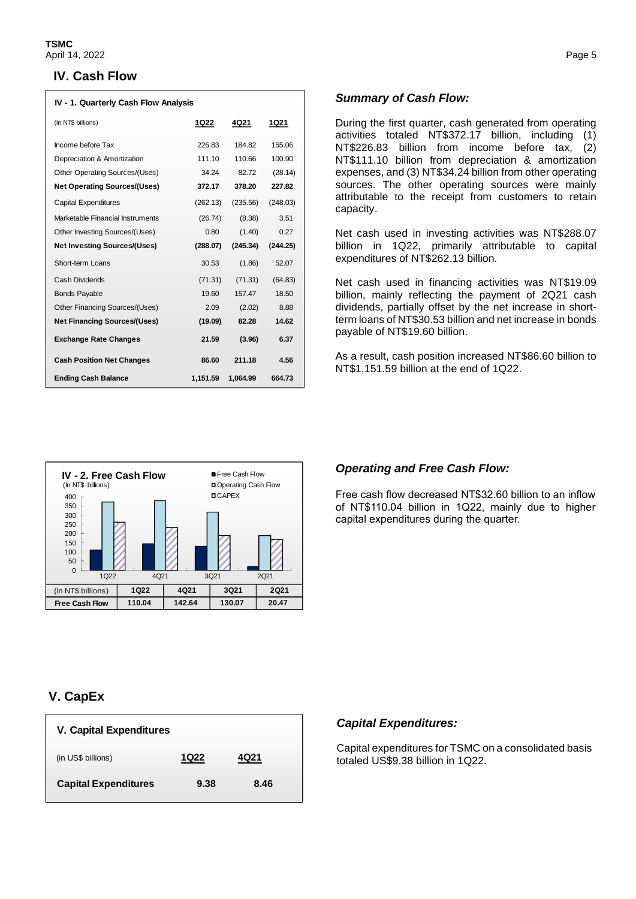### **IV. Cash Flow**

| IV - 1. Quarterly Cash Flow Analysis |          |          |          |
|--------------------------------------|----------|----------|----------|
| (In NT\$ billions)                   | 1Q22     | 4Q21     | 1Q21     |
| Income before Tax                    | 226.83   | 184.82   | 155.06   |
| Depreciation & Amortization          | 111.10   | 110.66   | 100.90   |
| Other Operating Sources/(Uses)       | 34.24    | 82.72    | (28.14)  |
| <b>Net Operating Sources/(Uses)</b>  | 372.17   | 378.20   | 227.82   |
| <b>Capital Expenditures</b>          | (262.13) | (235.56) | (248.03) |
| Marketable Financial Instruments     | (26.74)  | (8.38)   | 3.51     |
| Other Investing Sources/(Uses)       | 0.80     | (1.40)   | 0.27     |
| <b>Net Investing Sources/(Uses)</b>  | (288.07) | (245.34) | (244.25) |
| Short-term Loans                     | 30.53    | (1.86)   | 52.07    |
| Cash Dividends                       | (71.31)  | (71.31)  | (64.83)  |
| <b>Bonds Payable</b>                 | 19.60    | 157.47   | 18.50    |
| Other Financing Sources/(Uses)       | 2.09     | (2.02)   | 8.88     |
| <b>Net Financing Sources/(Uses)</b>  | (19.09)  | 82.28    | 14.62    |
| <b>Exchange Rate Changes</b>         | 21.59    | (3.96)   | 6.37     |
| <b>Cash Position Net Changes</b>     | 86.60    | 211.18   | 4.56     |
| <b>Ending Cash Balance</b>           | 1,151.59 | 1,064.99 | 664.73   |



#### *Summary of Cash Flow:*

During the first quarter, cash generated from operating activities totaled NT\$372.17 billion, including (1) NT\$226.83 billion from income before tax, (2) NT\$111.10 billion from depreciation & amortization expenses, and (3) NT\$34.24 billion from other operating sources. The other operating sources were mainly attributable to the receipt from customers to retain capacity.

Net cash used in investing activities was NT\$288.07 billion in 1Q22, primarily attributable to capital expenditures of NT\$262.13 billion.

Net cash used in financing activities was NT\$19.09 billion, mainly reflecting the payment of 2Q21 cash dividends, partially offset by the net increase in shortterm loans of NT\$30.53 billion and net increase in bonds payable of NT\$19.60 billion.

As a result, cash position increased NT\$86.60 billion to NT\$1,151.59 billion at the end of 1Q22.

#### *Operating and Free Cash Flow:*

Free cash flow decreased NT\$32.60 billion to an inflow of NT\$110.04 billion in 1Q22, mainly due to higher capital expenditures during the quarter.

# **V. CapEx**

| <b>V. Capital Expenditures</b> |      |      |  |
|--------------------------------|------|------|--|
| (in US\$ billions)             | 1Q22 | 4021 |  |
| <b>Capital Expenditures</b>    | 9.38 | 8.46 |  |

## *Capital Expenditures:*

 $\parallel$ 

Capital expenditures for TSMC on a consolidated basis totaled US\$9.38 billion in 1Q22.